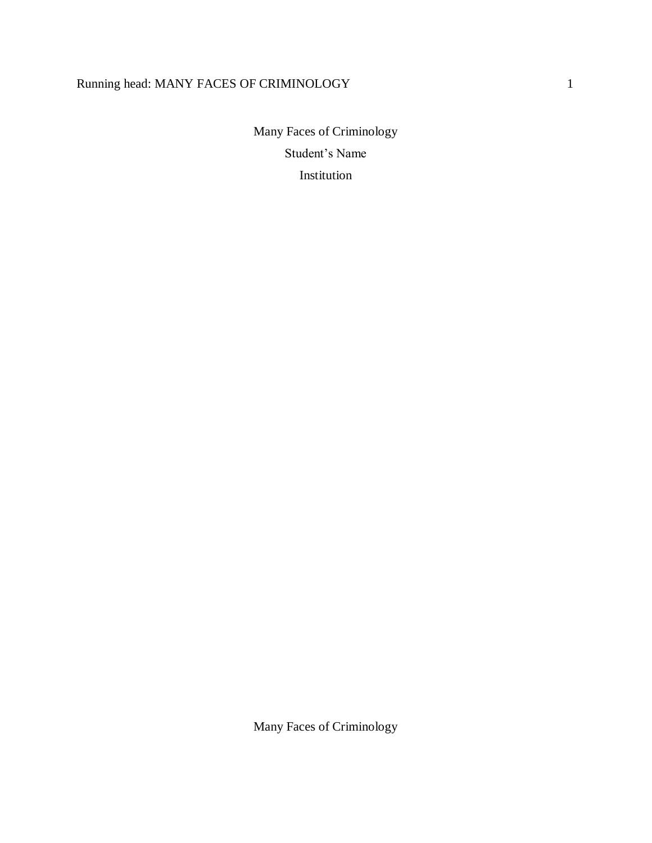# Running head: MANY FACES OF CRIMINOLOGY 1

Many Faces of Criminology Student's Name Institution

Many Faces of Criminology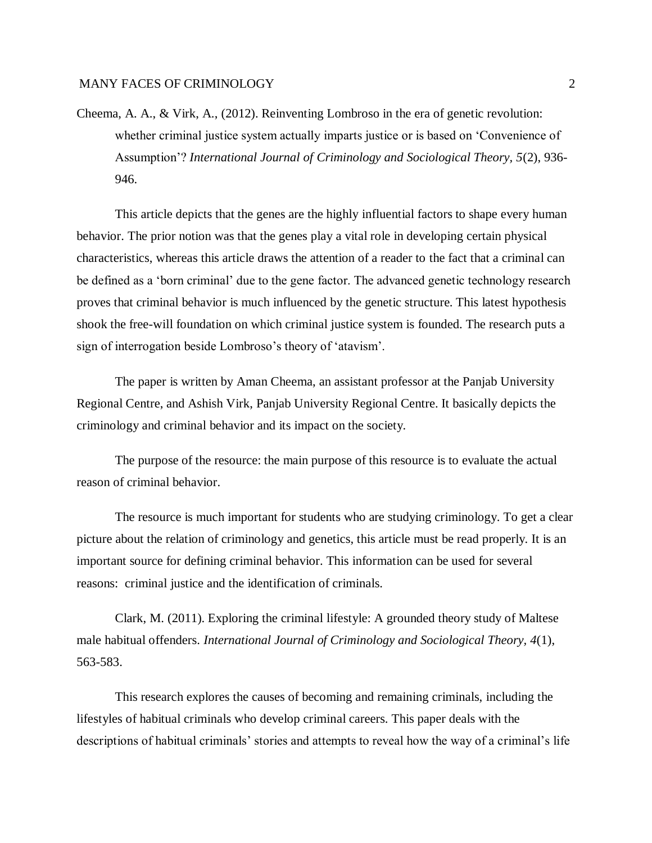Cheema, A. A., & Virk, A., (2012). Reinventing Lombroso in the era of genetic revolution: whether criminal justice system actually imparts justice or is based on 'Convenience of Assumption'? *International Journal of Criminology and Sociological Theory, 5*(2), 936- 946.

This article depicts that the genes are the highly influential factors to shape every human behavior. The prior notion was that the genes play a vital role in developing certain physical characteristics, whereas this article draws the attention of a reader to the fact that a criminal can be defined as a 'born criminal' due to the gene factor. The advanced genetic technology research proves that criminal behavior is much influenced by the genetic structure. This latest hypothesis shook the free-will foundation on which criminal justice system is founded. The research puts a sign of interrogation beside Lombroso's theory of 'atavism'.

The paper is written by Aman Cheema, an assistant professor at the Panjab University Regional Centre, and Ashish Virk, Panjab University Regional Centre. It basically depicts the criminology and criminal behavior and its impact on the society.

The purpose of the resource: the main purpose of this resource is to evaluate the actual reason of criminal behavior.

The resource is much important for students who are studying criminology. To get a clear picture about the relation of criminology and genetics, this article must be read properly. It is an important source for defining criminal behavior. This information can be used for several reasons: criminal justice and the identification of criminals.

Clark, M. (2011). Exploring the criminal lifestyle: A grounded theory study of Maltese male habitual offenders. *International Journal of Criminology and Sociological Theory, 4*(1), 563-583.

This research explores the causes of becoming and remaining criminals, including the lifestyles of habitual criminals who develop criminal careers. This paper deals with the descriptions of habitual criminals' stories and attempts to reveal how the way of a criminal's life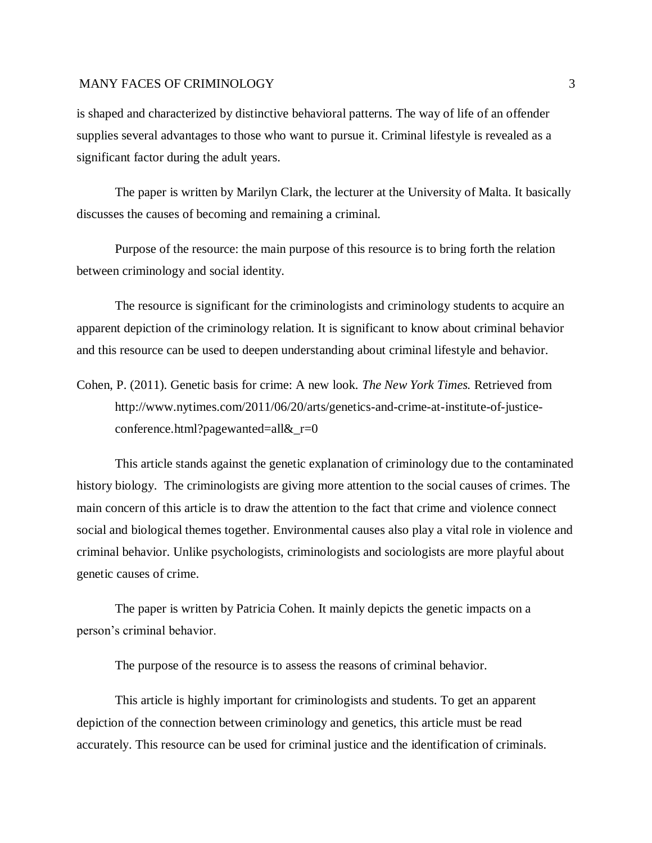is shaped and characterized by distinctive behavioral patterns. The way of life of an offender supplies several advantages to those who want to pursue it. Criminal lifestyle is revealed as a significant factor during the adult years.

The paper is written by Marilyn Clark, the lecturer at the University of Malta. It basically discusses the causes of becoming and remaining a criminal.

Purpose of the resource: the main purpose of this resource is to bring forth the relation between criminology and social identity.

The resource is significant for the criminologists and criminology students to acquire an apparent depiction of the criminology relation. It is significant to know about criminal behavior and this resource can be used to deepen understanding about criminal lifestyle and behavior.

Cohen, P. (2011). Genetic basis for crime: A new look. *The New York Times.* Retrieved from http://www.nytimes.com/2011/06/20/arts/genetics-and-crime-at-institute-of-justiceconference.html?pagewanted=all&\_r=0

This article stands against the genetic explanation of criminology due to the contaminated history biology. The criminologists are giving more attention to the social causes of crimes. The main concern of this article is to draw the attention to the fact that crime and violence connect social and biological themes together. Environmental causes also play a vital role in violence and criminal behavior. Unlike psychologists, criminologists and sociologists are more playful about genetic causes of crime.

The paper is written by Patricia Cohen. It mainly depicts the genetic impacts on a person's criminal behavior.

The purpose of the resource is to assess the reasons of criminal behavior.

This article is highly important for criminologists and students. To get an apparent depiction of the connection between criminology and genetics, this article must be read accurately. This resource can be used for criminal justice and the identification of criminals.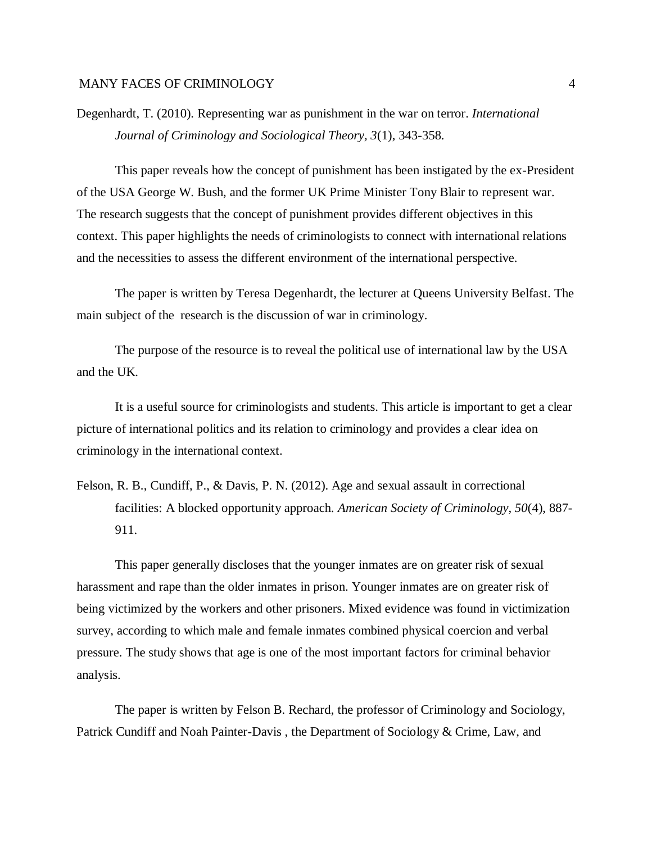Degenhardt, T. (2010). Representing war as punishment in the war on terror. *International Journal of Criminology and Sociological Theory, 3*(1), 343-358.

This paper reveals how the concept of punishment has been instigated by the ex-President of the USA George W. Bush, and the former UK Prime Minister Tony Blair to represent war. The research suggests that the concept of punishment provides different objectives in this context. This paper highlights the needs of criminologists to connect with international relations and the necessities to assess the different environment of the international perspective.

The paper is written by Teresa Degenhardt, the lecturer at Queens University Belfast. The main subject of the research is the discussion of war in criminology.

The purpose of the resource is to reveal the political use of international law by the USA and the UK.

It is a useful source for criminologists and students. This article is important to get a clear picture of international politics and its relation to criminology and provides a clear idea on criminology in the international context.

Felson, R. B., Cundiff, P., & Davis, P. N. (2012). Age and sexual assault in correctional facilities: A blocked opportunity approach. *American Society of Criminology, 50*(4), 887- 911.

This paper generally discloses that the younger inmates are on greater risk of sexual harassment and rape than the older inmates in prison. Younger inmates are on greater risk of being victimized by the workers and other prisoners. Mixed evidence was found in victimization survey, according to which male and female inmates combined physical coercion and verbal pressure. The study shows that age is one of the most important factors for criminal behavior analysis.

The paper is written by Felson B. Rechard, the professor of Criminology and Sociology, Patrick Cundiff and Noah Painter-Davis , the Department of Sociology & Crime, Law, and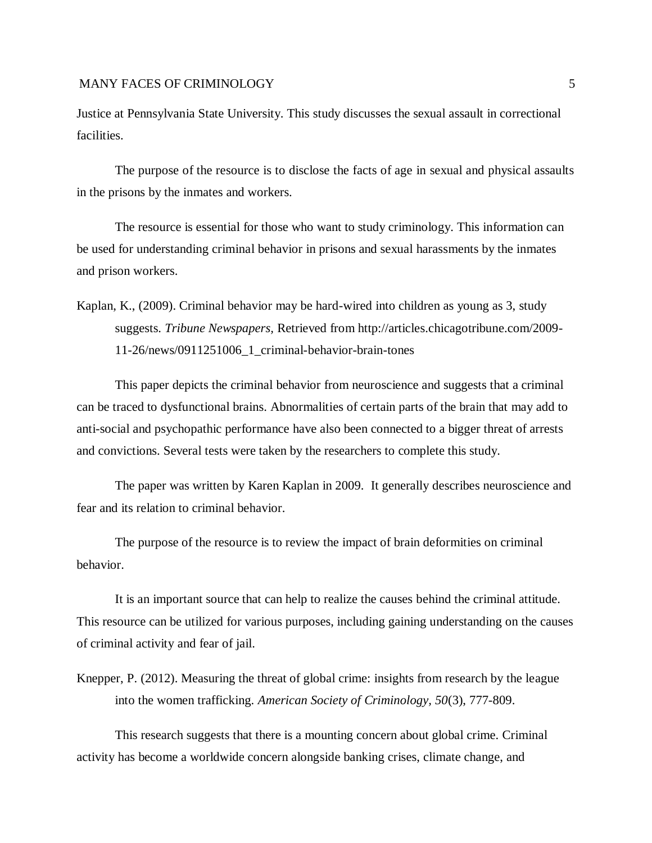Justice at Pennsylvania State University. This study discusses the sexual assault in correctional facilities.

The purpose of the resource is to disclose the facts of age in sexual and physical assaults in the prisons by the inmates and workers.

The resource is essential for those who want to study criminology. This information can be used for understanding criminal behavior in prisons and sexual harassments by the inmates and prison workers.

Kaplan, K., (2009). Criminal behavior may be hard-wired into children as young as 3, study suggests. *Tribune Newspapers,* Retrieved from http://articles.chicagotribune.com/2009- 11-26/news/0911251006\_1\_criminal-behavior-brain-tones

This paper depicts the criminal behavior from neuroscience and suggests that a criminal can be traced to dysfunctional brains. Abnormalities of certain parts of the brain that may add to anti-social and psychopathic performance have also been connected to a bigger threat of arrests and convictions. Several tests were taken by the researchers to complete this study.

The paper was written by Karen Kaplan in 2009. It generally describes neuroscience and fear and its relation to criminal behavior.

The purpose of the resource is to review the impact of brain deformities on criminal behavior.

It is an important source that can help to realize the causes behind the criminal attitude. This resource can be utilized for various purposes, including gaining understanding on the causes of criminal activity and fear of jail.

Knepper, P. (2012). Measuring the threat of global crime: insights from research by the league into the women trafficking. *American Society of Criminology, 50*(3), 777-809.

This research suggests that there is a mounting concern about global crime. Criminal activity has become a worldwide concern alongside banking crises, climate change, and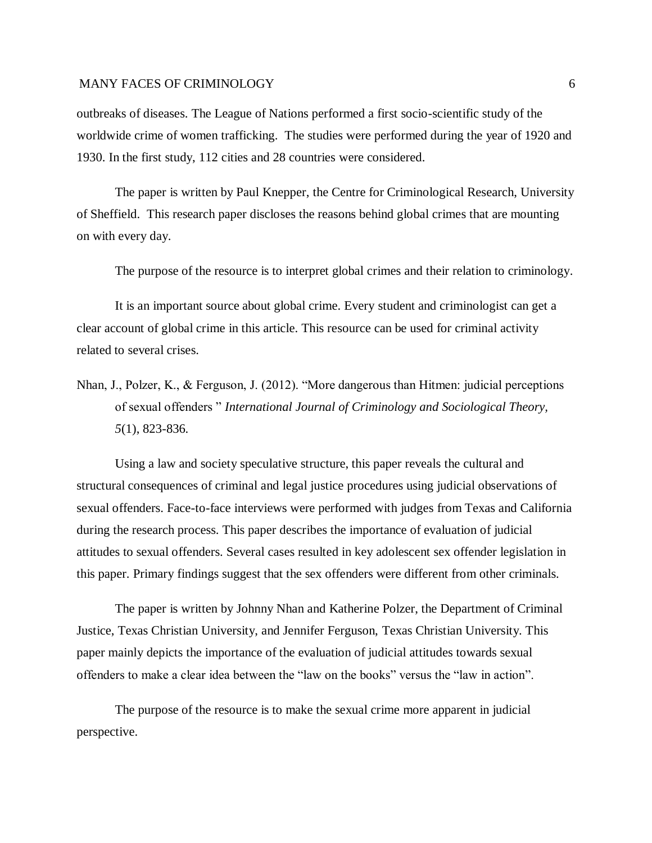outbreaks of diseases. The League of Nations performed a first socio-scientific study of the worldwide crime of women trafficking. The studies were performed during the year of 1920 and 1930. In the first study, 112 cities and 28 countries were considered.

The paper is written by Paul Knepper, the Centre for Criminological Research, University of Sheffield. This research paper discloses the reasons behind global crimes that are mounting on with every day.

The purpose of the resource is to interpret global crimes and their relation to criminology.

It is an important source about global crime. Every student and criminologist can get a clear account of global crime in this article. This resource can be used for criminal activity related to several crises.

Nhan, J., Polzer, K., & Ferguson, J. (2012). "More dangerous than Hitmen: judicial perceptions of sexual offenders " *International Journal of Criminology and Sociological Theory, 5*(1), 823-836.

Using a law and society speculative structure, this paper reveals the cultural and structural consequences of criminal and legal justice procedures using judicial observations of sexual offenders. Face-to-face interviews were performed with judges from Texas and California during the research process. This paper describes the importance of evaluation of judicial attitudes to sexual offenders. Several cases resulted in key adolescent sex offender legislation in this paper. Primary findings suggest that the sex offenders were different from other criminals.

The paper is written by Johnny Nhan and Katherine Polzer, the Department of Criminal Justice, Texas Christian University, and Jennifer Ferguson, Texas Christian University. This paper mainly depicts the importance of the evaluation of judicial attitudes towards sexual offenders to make a clear idea between the "law on the books" versus the "law in action".

The purpose of the resource is to make the sexual crime more apparent in judicial perspective.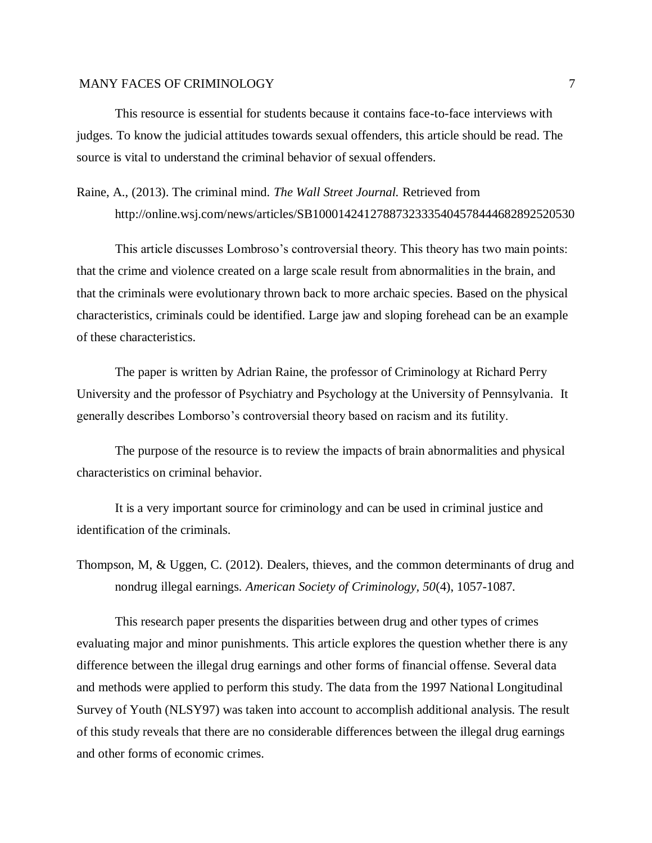This resource is essential for students because it contains face-to-face interviews with judges. To know the judicial attitudes towards sexual offenders, this article should be read. The source is vital to understand the criminal behavior of sexual offenders.

Raine, A., (2013). The criminal mind. *The Wall Street Journal.* Retrieved from http://online.wsj.com/news/articles/SB10001424127887323335404578444682892520530

This article discusses Lombroso's controversial theory. This theory has two main points: that the crime and violence created on a large scale result from abnormalities in the brain, and that the criminals were evolutionary thrown back to more archaic species. Based on the physical characteristics, criminals could be identified. Large jaw and sloping forehead can be an example of these characteristics.

The paper is written by Adrian Raine, the professor of Criminology at Richard Perry University and the professor of Psychiatry and Psychology at the University of Pennsylvania*.* It generally describes Lomborso's controversial theory based on racism and its futility.

The purpose of the resource is to review the impacts of brain abnormalities and physical characteristics on criminal behavior.

It is a very important source for criminology and can be used in criminal justice and identification of the criminals.

Thompson, M, & Uggen, C. (2012). Dealers, thieves, and the common determinants of drug and nondrug illegal earnings. *American Society of Criminology, 50*(4), 1057-1087.

This research paper presents the disparities between drug and other types of crimes evaluating major and minor punishments. This article explores the question whether there is any difference between the illegal drug earnings and other forms of financial offense. Several data and methods were applied to perform this study. The data from the 1997 National Longitudinal Survey of Youth (NLSY97) was taken into account to accomplish additional analysis. The result of this study reveals that there are no considerable differences between the illegal drug earnings and other forms of economic crimes.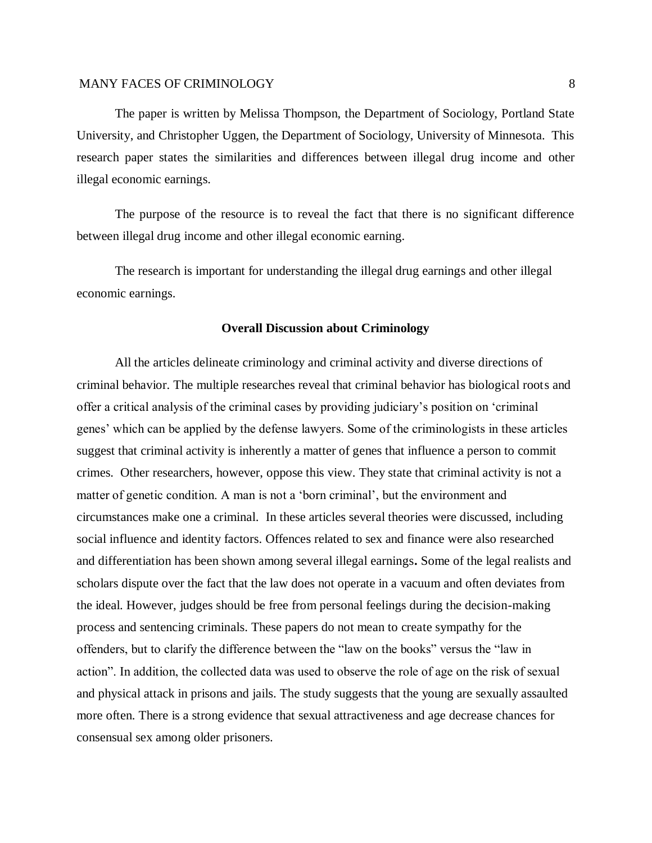The paper is written by Melissa Thompson, the Department of Sociology, Portland State University, and Christopher Uggen, the Department of Sociology, University of Minnesota. This research paper states the similarities and differences between illegal drug income and other illegal economic earnings.

The purpose of the resource is to reveal the fact that there is no significant difference between illegal drug income and other illegal economic earning.

The research is important for understanding the illegal drug earnings and other illegal economic earnings.

#### **Overall Discussion about Criminology**

All the articles delineate criminology and criminal activity and diverse directions of criminal behavior. The multiple researches reveal that criminal behavior has biological roots and offer a critical analysis of the criminal cases by providing judiciary's position on 'criminal genes' which can be applied by the defense lawyers. Some of the criminologists in these articles suggest that criminal activity is inherently a matter of genes that influence a person to commit crimes. Other researchers, however, oppose this view. They state that criminal activity is not a matter of genetic condition. A man is not a 'born criminal', but the environment and circumstances make one a criminal. In these articles several theories were discussed, including social influence and identity factors. Offences related to sex and finance were also researched and differentiation has been shown among several illegal earnings**.** Some of the legal realists and scholars dispute over the fact that the law does not operate in a vacuum and often deviates from the ideal. However, judges should be free from personal feelings during the decision-making process and sentencing criminals. These papers do not mean to create sympathy for the offenders, but to clarify the difference between the "law on the books" versus the "law in action". In addition, the collected data was used to observe the role of age on the risk of sexual and physical attack in prisons and jails. The study suggests that the young are sexually assaulted more often. There is a strong evidence that sexual attractiveness and age decrease chances for consensual sex among older prisoners.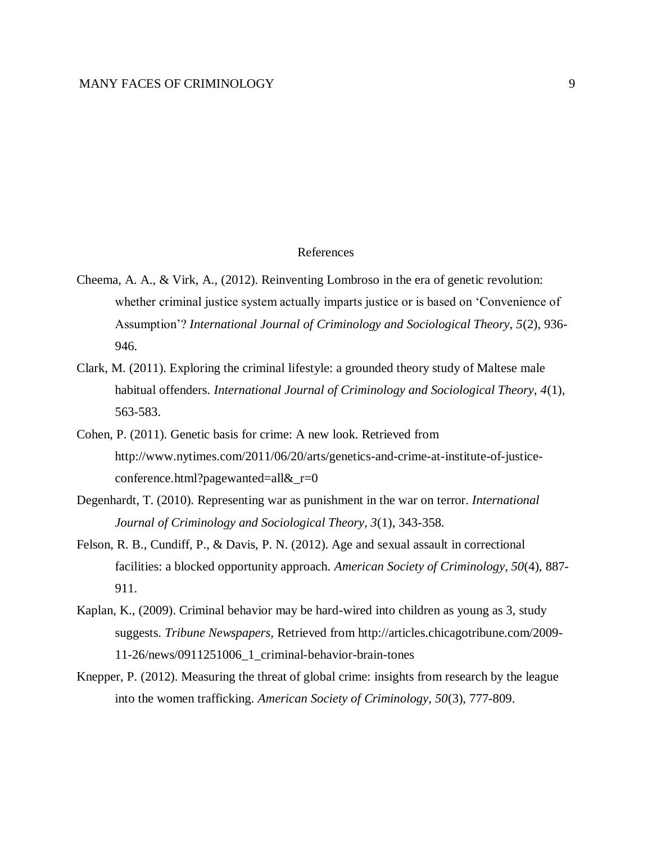#### References

- Cheema, A. A., & Virk, A., (2012). Reinventing Lombroso in the era of genetic revolution: whether criminal justice system actually imparts justice or is based on 'Convenience of Assumption'? *International Journal of Criminology and Sociological Theory, 5*(2), 936- 946.
- Clark, M. (2011). Exploring the criminal lifestyle: a grounded theory study of Maltese male habitual offenders. *International Journal of Criminology and Sociological Theory, 4*(1), 563-583.
- Cohen, P. (2011). Genetic basis for crime: A new look. Retrieved from http://www.nytimes.com/2011/06/20/arts/genetics-and-crime-at-institute-of-justiceconference.html?pagewanted=all&\_r=0
- Degenhardt, T. (2010). Representing war as punishment in the war on terror. *International Journal of Criminology and Sociological Theory, 3*(1), 343-358.
- Felson, R. B., Cundiff, P., & Davis, P. N. (2012). Age and sexual assault in correctional facilities: a blocked opportunity approach. *American Society of Criminology, 50*(4), 887- 911.
- Kaplan, K., (2009). Criminal behavior may be hard-wired into children as young as 3, study suggests. *Tribune Newspapers,* Retrieved from http://articles.chicagotribune.com/2009- 11-26/news/0911251006\_1\_criminal-behavior-brain-tones
- Knepper, P. (2012). Measuring the threat of global crime: insights from research by the league into the women trafficking. *American Society of Criminology, 50*(3), 777-809.